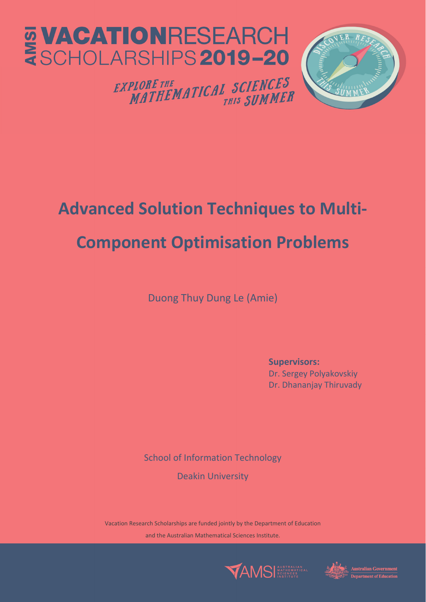



**PLORE THE MATICAL SCIENCES**<br>MATHEMATICAL <sub>THIS</sub> SUMMER EXPLORE THE

# **Advanced Solution Techniques to Multi‐ Component Optimisation Problems**

Duong Thuy Dung Le (Amie)

**Supervisors:** Dr. Sergey Polyakovskiy Dr. Dhananjay Thiruvady

School of Information Technology

Deakin University

Vacation Research Scholarships are funded jointly by the Department of Education and the Australian Mathematical Sciences Institute.



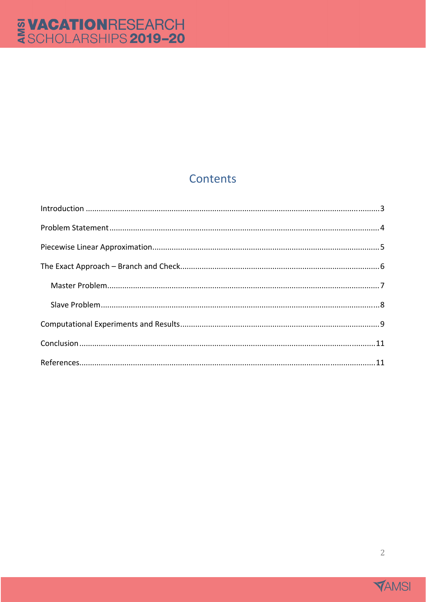# Contents

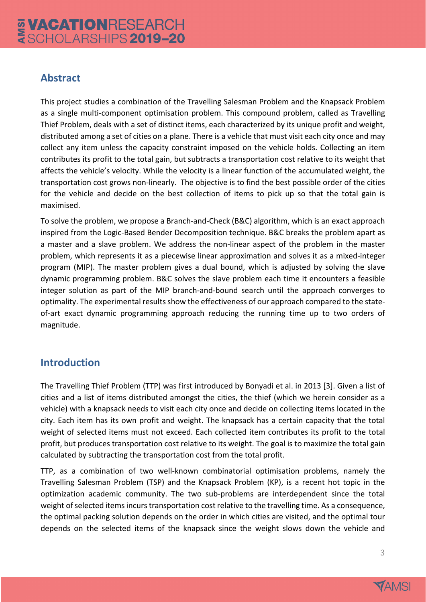## **Abstract**

This project studies a combination of the Travelling Salesman Problem and the Knapsack Problem as a single multi-component optimisation problem. This compound problem, called as Travelling Thief Problem, deals with a set of distinct items, each characterized by its unique profit and weight, distributed among a set of cities on a plane. There is a vehicle that must visit each city once and may collect any item unless the capacity constraint imposed on the vehicle holds. Collecting an item contributes its profit to the total gain, but subtracts a transportation cost relative to its weight that affects the vehicle's velocity. While the velocity is a linear function of the accumulated weight, the transportation cost grows non‐linearly. The objective is to find the best possible order of the cities for the vehicle and decide on the best collection of items to pick up so that the total gain is maximised.

To solve the problem, we propose a Branch‐and‐Check (B&C) algorithm, which is an exact approach inspired from the Logic‐Based Bender Decomposition technique. B&C breaks the problem apart as a master and a slave problem. We address the non‐linear aspect of the problem in the master problem, which represents it as a piecewise linear approximation and solves it as a mixed‐integer program (MIP). The master problem gives a dual bound, which is adjusted by solving the slave dynamic programming problem. B&C solves the slave problem each time it encounters a feasible integer solution as part of the MIP branch‐and‐bound search until the approach converges to optimality. The experimental results show the effectiveness of our approach compared to the stateof‐art exact dynamic programming approach reducing the running time up to two orders of magnitude.

# **Introduction**

The Travelling Thief Problem (TTP) was first introduced by Bonyadi et al. in 2013 [3]. Given a list of cities and a list of items distributed amongst the cities, the thief (which we herein consider as a vehicle) with a knapsack needs to visit each city once and decide on collecting items located in the city. Each item has its own profit and weight. The knapsack has a certain capacity that the total weight of selected items must not exceed. Each collected item contributes its profit to the total profit, but produces transportation cost relative to its weight. The goal is to maximize the total gain calculated by subtracting the transportation cost from the total profit.

TTP, as a combination of two well-known combinatorial optimisation problems, namely the Travelling Salesman Problem (TSP) and the Knapsack Problem (KP), is a recent hot topic in the optimization academic community. The two sub‐problems are interdependent since the total weight of selected items incurs transportation cost relative to the travelling time. As a consequence, the optimal packing solution depends on the order in which cities are visited, and the optimal tour depends on the selected items of the knapsack since the weight slows down the vehicle and

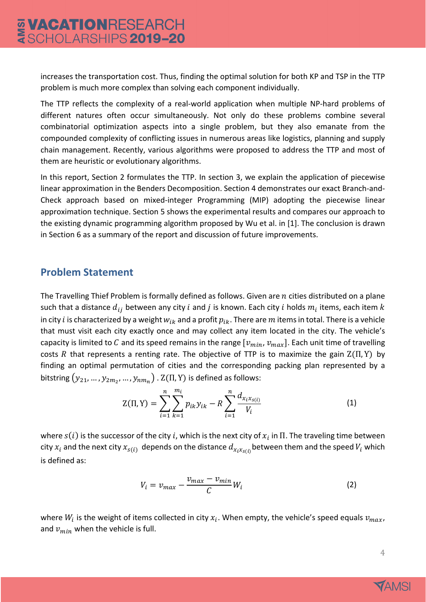increases the transportation cost. Thus, finding the optimal solution for both KP and TSP in the TTP problem is much more complex than solving each component individually.

The TTP reflects the complexity of a real-world application when multiple NP-hard problems of different natures often occur simultaneously. Not only do these problems combine several combinatorial optimization aspects into a single problem, but they also emanate from the compounded complexity of conflicting issues in numerous areas like logistics, planning and supply chain management. Recently, various algorithms were proposed to address the TTP and most of them are heuristic or evolutionary algorithms.

In this report, Section 2 formulates the TTP. In section 3, we explain the application of piecewise linear approximation in the Benders Decomposition. Section 4 demonstrates our exact Branch‐and‐ Check approach based on mixed‐integer Programming (MIP) adopting the piecewise linear approximation technique. Section 5 shows the experimental results and compares our approach to the existing dynamic programming algorithm proposed by Wu et al. in [1]. The conclusion is drawn in Section 6 as a summary of the report and discussion of future improvements.

#### **Problem Statement**

The Travelling Thief Problem is formally defined as follows. Given are  $n$  cities distributed on a plane such that a distance  $d_{ij}$  between any city i and j is known. Each city i holds  $m_i$  items, each item k in city *i* is characterized by a weight  $w_{ik}$  and a profit  $p_{ik}$ . There are m items in total. There is a vehicle that must visit each city exactly once and may collect any item located in the city. The vehicle's capacity is limited to C and its speed remains in the range  $[v_{min}, v_{max}]$ . Each unit time of travelling costs R that represents a renting rate. The objective of TTP is to maximize the gain  $Z(\Pi, Y)$  by finding an optimal permutation of cities and the corresponding packing plan represented by a bitstring  $(y_{21},..., y_{2m_2},..., y_{nm_n})$ .  $Z(\Pi, Y)$  is defined as follows:

$$
Z(\Pi, Y) = \sum_{i=1}^{n} \sum_{k=1}^{m_i} p_{ik} y_{ik} - R \sum_{i=1}^{n} \frac{d_{x_i x_{S(i)}}}{V_i}
$$
(1)

where  $s(i)$  is the successor of the city i, which is the next city of  $x_i$  in  $\Pi$ . The traveling time between city  $x_i$  and the next city  $x_{s(i)}$  depends on the distance  $d_{x_ix_{s(i)}}$  between them and the speed  $V_i$  which is defined as:

$$
V_i = v_{max} - \frac{v_{max} - v_{min}}{C} W_i
$$
 (2)

where  $W_i$  is the weight of items collected in city  $x_i$ . When empty, the vehicle's speed equals  $v_{max}$ , and  $v_{min}$  when the vehicle is full.

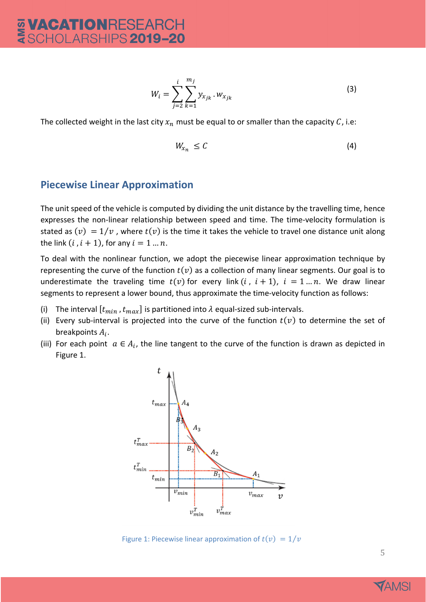$$
W_i = \sum_{j=2}^{i} \sum_{k=1}^{m_j} y_{x_{jk}} \cdot w_{x_{jk}}
$$
 (3)

The collected weight in the last city  $x_n$  must be equal to or smaller than the capacity C, i.e:

$$
W_{x_n} \leq C \tag{4}
$$

#### **Piecewise Linear Approximation**

The unit speed of the vehicle is computed by dividing the unit distance by the travelling time, hence expresses the non-linear relationship between speed and time. The time-velocity formulation is stated as  $(v) = 1/v$ , where  $t(v)$  is the time it takes the vehicle to travel one distance unit along the link  $(i, i + 1)$ , for any  $i = 1 ... n$ .

To deal with the nonlinear function, we adopt the piecewise linear approximation technique by representing the curve of the function  $t(v)$  as a collection of many linear segments. Our goal is to underestimate the traveling time  $t(v)$  for every link  $(i, i + 1)$ ,  $i = 1...n$ . We draw linear segments to represent a lower bound, thus approximate the time-velocity function as follows:

- (i) The interval  $[t_{min}, t_{max}]$  is partitioned into  $\lambda$  equal-sized sub-intervals.
- (ii) Every sub-interval is projected into the curve of the function  $t(v)$  to determine the set of breakpoints  $A_i$ .
- (iii) For each point  $a \in A_i$ , the line tangent to the curve of the function is drawn as depicted in Figure 1.



Figure 1: Piecewise linear approximation of  $t(v) = 1/v$ 

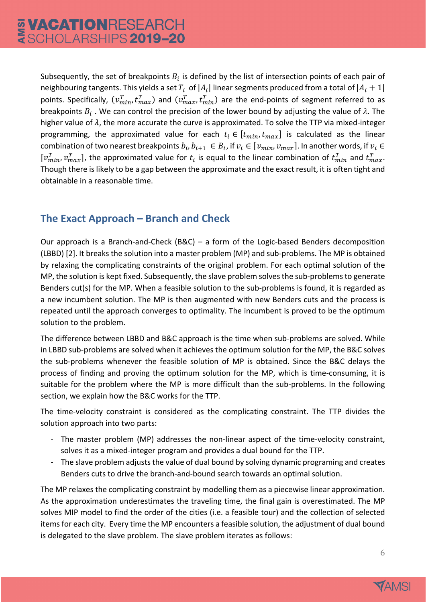Subsequently, the set of breakpoints  $B_i$  is defined by the list of intersection points of each pair of neighbouring tangents. This yields a set  $T_i$  of  $|A_i|$  linear segments produced from a total of  $|A_i + 1|$ points. Specifically,  $(v_{min}^T, t_{max}^T)$  and  $(v_{max}^T, t_{min}^T)$  are the end-points of segment referred to as breakpoints  $B_i$ . We can control the precision of the lower bound by adjusting the value of  $\lambda$ . The higher value of  $\lambda$ , the more accurate the curve is approximated. To solve the TTP via mixed-integer programming, the approximated value for each  $t_i \in [t_{min}, t_{max}]$  is calculated as the linear combination of two nearest breakpoints  $b_i, b_{i+1} \in B_i$ , if  $v_i \in [v_{min}, v_{max}]$ . In another words, if  $v_i \in$  $[v_{min}^T, v_{max}^T]$ , the approximated value for  $t_i$  is equal to the linear combination of  $t_{min}^T$  and  $t_{max}^T$ . Though there islikely to be a gap between the approximate and the exact result, it is often tight and obtainable in a reasonable time.

# **The Exact Approach – Branch and Check**

Our approach is a Branch-and-Check (B&C) – a form of the Logic-based Benders decomposition (LBBD) [2]. It breaks the solution into a master problem (MP) and sub‐problems. The MP is obtained by relaxing the complicating constraints of the original problem. For each optimal solution of the MP, the solution is kept fixed. Subsequently, the slave problem solvesthe sub‐problemsto generate Benders cut(s) for the MP. When a feasible solution to the sub-problems is found, it is regarded as a new incumbent solution. The MP is then augmented with new Benders cuts and the process is repeated until the approach converges to optimality. The incumbent is proved to be the optimum solution to the problem.

The difference between LBBD and B&C approach is the time when sub-problems are solved. While in LBBD sub‐problems are solved when it achieves the optimum solution for the MP, the B&C solves the sub‐problems whenever the feasible solution of MP is obtained. Since the B&C delays the process of finding and proving the optimum solution for the MP, which is time‐consuming, it is suitable for the problem where the MP is more difficult than the sub-problems. In the following section, we explain how the B&C works for the TTP.

The time-velocity constraint is considered as the complicating constraint. The TTP divides the solution approach into two parts:

- The master problem (MP) addresses the non-linear aspect of the time-velocity constraint, solves it as a mixed‐integer program and provides a dual bound for the TTP.
- The slave problem adjusts the value of dual bound by solving dynamic programing and creates Benders cuts to drive the branch‐and‐bound search towards an optimal solution.

The MP relaxes the complicating constraint by modelling them as a piecewise linear approximation. As the approximation underestimates the traveling time, the final gain is overestimated. The MP solves MIP model to find the order of the cities (i.e. a feasible tour) and the collection of selected items for each city. Every time the MP encounters a feasible solution, the adjustment of dual bound is delegated to the slave problem. The slave problem iterates as follows:

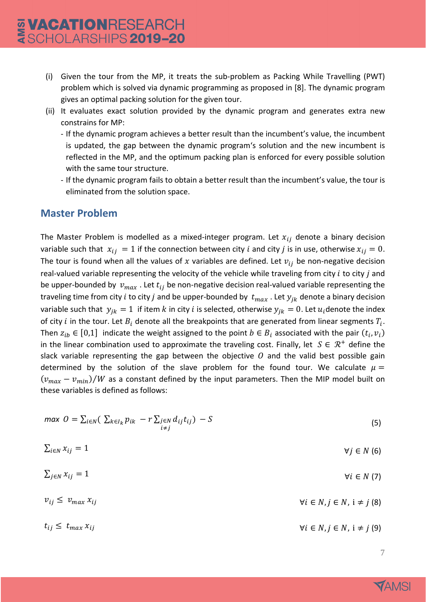- (i) Given the tour from the MP, it treats the sub‐problem as Packing While Travelling (PWT) problem which is solved via dynamic programming as proposed in [8]. The dynamic program gives an optimal packing solution for the given tour.
- (ii) It evaluates exact solution provided by the dynamic program and generates extra new constrains for MP:
	- ‐ If the dynamic program achieves a better result than the incumbent's value, the incumbent is updated, the gap between the dynamic program's solution and the new incumbent is reflected in the MP, and the optimum packing plan is enforced for every possible solution with the same tour structure.
	- ‐ If the dynamic program fails to obtain a better result than the incumbent's value, the tour is eliminated from the solution space.

#### **Master Problem**

The Master Problem is modelled as a mixed-integer program. Let  $x_{ij}$  denote a binary decision variable such that  $x_{ij} = 1$  if the connection between city *i* and city *j* is in use, otherwise  $x_{ij} = 0$ . The tour is found when all the values of x variables are defined. Let  $v_{ij}$  be non-negative decision real-valued variable representing the velocity of the vehicle while traveling from city  $i$  to city  $j$  and be upper-bounded by  $v_{max}$ . Let  $t_{ij}$  be non-negative decision real-valued variable representing the traveling time from city *i* to city *j* and be upper-bounded by  $t_{max}$ . Let  $y_{ik}$  denote a binary decision variable such that  $y_{ik} = 1$  if item k in city i is selected, otherwise  $y_{ik} = 0$ . Let  $u_i$ denote the index of city *i* in the tour. Let  $B_i$  denote all the breakpoints that are generated from linear segments  $T_i$ . Then  $z_{ib} \in [0,1]$  indicate the weight assigned to the point  $b \in B_i$  associated with the pair  $(t_i, v_i)$ in the linear combination used to approximate the traveling cost. Finally, let  $S \in \mathbb{R}^+$  define the slack variable representing the gap between the objective  $O$  and the valid best possible gain determined by the solution of the slave problem for the found tour. We calculate  $\mu =$  $(v_{max} - v_{min})/W$  as a constant defined by the input parameters. Then the MIP model built on these variables is defined as follows:

$$
max \space O = \sum_{i \in N} (\sum_{k \in I_k} p_{ik} - r \sum_{j \in N} d_{ij} t_{ij}) - S \tag{5}
$$

$$
\sum_{i \in N} x_{ij} = 1 \qquad \qquad \forall j \in N \ (6)
$$

 $v_{ij} \le v_{max} x_{ij}$   $\forall i \in N, j \in N, i \ne j$  (8)

 $t_{ij} \leq t_{max} x_{ij}$   $\forall i \in N, j \in N, i \neq j$  (9)

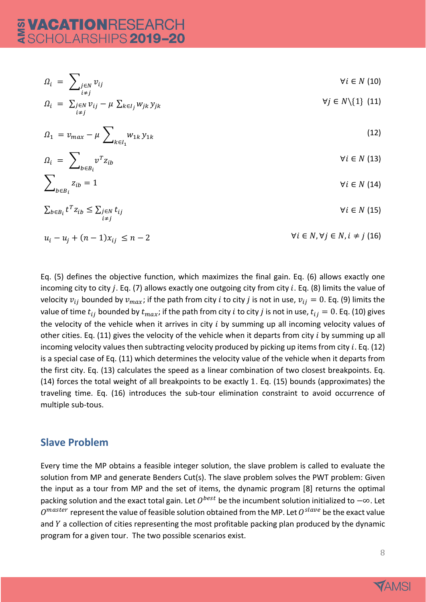$$
\Omega_{i} = \sum_{\substack{i \in N \\ i \neq j}} v_{ij} \qquad \forall i \in N \ (10)
$$
\n
$$
\Omega_{i} = \sum_{\substack{j \in N \\ i \neq j}} v_{ij} - \mu \sum_{k \in I_{j}} w_{jk} y_{jk} \qquad \forall j \in N \setminus \{1\} \ (11)
$$
\n
$$
\Omega_{1} = v_{max} - \mu \sum_{k \in I_{1}} w_{1k} y_{1k} \qquad (12)
$$
\n
$$
\Omega_{i} = \sum_{b \in B_{i}} v^{T} z_{ib} \qquad \forall i \in N \ (13)
$$
\n
$$
\sum_{b \in B_{i}} z_{ib} = 1 \qquad \forall i \in N \ (14)
$$
\n
$$
\sum_{b \in B_{i}} t^{T} z_{ib} \le \sum_{j \in N} t_{ij} \qquad \forall i \in N \ (15)
$$

$$
\sum_{b \in B_i} t^T z_{ib} \leq \sum_{i \neq j} t_{ij} \qquad \qquad \forall i \in N \ (15)
$$

$$
u_i - u_j + (n-1)x_{ij} \le n-2
$$
\n
$$
\forall i \in N, \forall j \in N, i \neq j \ (16)
$$

Eq. (5) defines the objective function, which maximizes the final gain. Eq. (6) allows exactly one incoming city to city j. Eq. (7) allows exactly one outgoing city from city  $i$ . Eq. (8) limits the value of velocity  $v_{ij}$  bounded by  $v_{max}$ ; if the path from city *i* to city *j* is not in use,  $v_{ij} = 0$ . Eq. (9) limits the value of time  $t_{ij}$  bounded by  $t_{max}$ ; if the path from city *i* to city *j* is not in use,  $t_{ij} = 0$ . Eq. (10) gives the velocity of the vehicle when it arrives in city  $i$  by summing up all incoming velocity values of other cities. Eq. (11) gives the velocity of the vehicle when it departs from city  $i$  by summing up all incoming velocity values then subtracting velocity produced by picking up items from city  $i$ . Eq. (12) is a special case of Eq. (11) which determines the velocity value of the vehicle when it departs from the first city. Eq. (13) calculates the speed as a linear combination of two closest breakpoints. Eq. (14) forces the total weight of all breakpoints to be exactly 1. Eq. (15) bounds (approximates) the traveling time. Eq. (16) introduces the sub-tour elimination constraint to avoid occurrence of multiple sub‐tous.

#### **Slave Problem**

Every time the MP obtains a feasible integer solution, the slave problem is called to evaluate the solution from MP and generate Benders Cut(s). The slave problem solves the PWT problem: Given the input as a tour from MP and the set of items, the dynamic program [8] returns the optimal packing solution and the exact total gain. Let  $0^{best}$  be the incumbent solution initialized to  $-\infty$ . Let  $0^{master}$  represent the value of feasible solution obtained from the MP. Let  $0^{slave}$  be the exact value and  $Y$  a collection of cities representing the most profitable packing plan produced by the dynamic program for a given tour. The two possible scenarios exist.

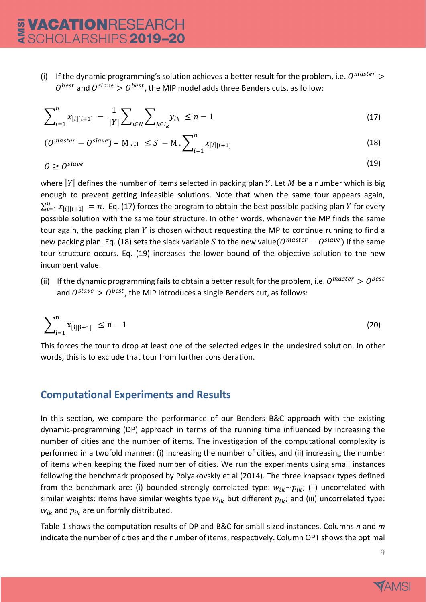(i) If the dynamic programming's solution achieves a better result for the problem, i.e.  $0^{master}$  >  $0^{best}$  and  $0^{slave} > 0^{best}$ , the MIP model adds three Benders cuts, as follow:

$$
\sum_{i=1}^{n} x_{[i][i+1]} - \frac{1}{|Y|} \sum_{i \in N} \sum_{k \in I_k} y_{ik} \le n - 1 \tag{17}
$$

$$
(0^{master} - 0^{slave}) - M.n \leq S - M \cdot \sum_{i=1}^{n} x_{[i][i+1]}
$$
 (18)

$$
0 \ge 0^{slave} \tag{19}
$$

where  $|Y|$  defines the number of items selected in packing plan Y. Let M be a number which is big enough to prevent getting infeasible solutions. Note that when the same tour appears again,  $\sum_{i=1}^n x_{[i][i+1]} = n$ . Eq. (17) forces the program to obtain the best possible packing plan Y for every possible solution with the same tour structure. In other words, whenever the MP finds the same tour again, the packing plan  $Y$  is chosen without requesting the MP to continue running to find a new packing plan. Eq. (18) sets the slack variable *S* to the new value( $O^{master} - O^{slave}$ ) if the same tour structure occurs. Eq. (19) increases the lower bound of the objective solution to the new incumbent value.

(ii) If the dynamic programming fails to obtain a better result for the problem, i.e.  $O^{master} > O^{best}$ and  $0^{slave} > 0^{best}$ , the MIP introduces a single Benders cut, as follows:

$$
\sum_{i=1}^{n} x_{[i][i+1]} \le n-1 \tag{20}
$$

This forces the tour to drop at least one of the selected edges in the undesired solution. In other words, this is to exclude that tour from further consideration.

#### **Computational Experiments and Results**

In this section, we compare the performance of our Benders B&C approach with the existing dynamic‐programming (DP) approach in terms of the running time influenced by increasing the number of cities and the number of items. The investigation of the computational complexity is performed in a twofold manner: (i) increasing the number of cities, and (ii) increasing the number of items when keeping the fixed number of cities. We run the experiments using small instances following the benchmark proposed by Polyakovskiy et al (2014). The three knapsack types defined from the benchmark are: (i) bounded strongly correlated type:  $w_{ik} \sim p_{ik}$ ; (ii) uncorrelated with similar weights: items have similar weights type  $w_{ik}$  but different  $p_{ik}$ ; and (iii) uncorrelated type:  $w_{ik}$  and  $p_{ik}$  are uniformly distributed.

Table 1 shows the computation results of DP and B&C for small‐sized instances. Columns *n* and *m* indicate the number of cities and the number of items, respectively. Column OPT shows the optimal

9

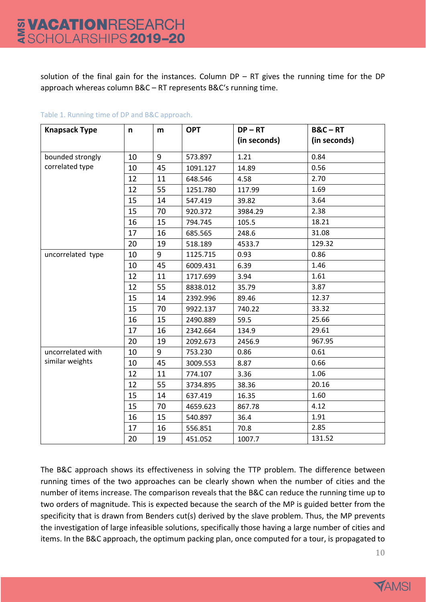solution of the final gain for the instances. Column  $DP - RT$  gives the running time for the DP approach whereas column B&C – RT represents B&C's running time.

| <b>Knapsack Type</b> | n  | m  | <b>OPT</b> | $DP - RT$    | $B&C - RT$   |
|----------------------|----|----|------------|--------------|--------------|
|                      |    |    |            | (in seconds) | (in seconds) |
| bounded strongly     | 10 | 9  | 573.897    | 1.21         | 0.84         |
| correlated type      | 10 | 45 | 1091.127   | 14.89        | 0.56         |
|                      | 12 | 11 | 648.546    | 4.58         | 2.70         |
|                      | 12 | 55 | 1251.780   | 117.99       | 1.69         |
|                      | 15 | 14 | 547.419    | 39.82        | 3.64         |
|                      | 15 | 70 | 920.372    | 3984.29      | 2.38         |
|                      | 16 | 15 | 794.745    | 105.5        | 18.21        |
|                      | 17 | 16 | 685.565    | 248.6        | 31.08        |
|                      | 20 | 19 | 518.189    | 4533.7       | 129.32       |
| uncorrelated type    | 10 | 9  | 1125.715   | 0.93         | 0.86         |
|                      | 10 | 45 | 6009.431   | 6.39         | 1.46         |
|                      | 12 | 11 | 1717.699   | 3.94         | 1.61         |
|                      | 12 | 55 | 8838.012   | 35.79        | 3.87         |
|                      | 15 | 14 | 2392.996   | 89.46        | 12.37        |
|                      | 15 | 70 | 9922.137   | 740.22       | 33.32        |
|                      | 16 | 15 | 2490.889   | 59.5         | 25.66        |
|                      | 17 | 16 | 2342.664   | 134.9        | 29.61        |
|                      | 20 | 19 | 2092.673   | 2456.9       | 967.95       |
| uncorrelated with    | 10 | 9  | 753.230    | 0.86         | 0.61         |
| similar weights      | 10 | 45 | 3009.553   | 8.87         | 0.66         |
|                      | 12 | 11 | 774.107    | 3.36         | 1.06         |
|                      | 12 | 55 | 3734.895   | 38.36        | 20.16        |
|                      | 15 | 14 | 637.419    | 16.35        | 1.60         |
|                      | 15 | 70 | 4659.623   | 867.78       | 4.12         |
|                      | 16 | 15 | 540.897    | 36.4         | 1.91         |
|                      | 17 | 16 | 556.851    | 70.8         | 2.85         |
|                      | 20 | 19 | 451.052    | 1007.7       | 131.52       |

#### Table 1. Running time of DP and B&C approach.

The B&C approach shows its effectiveness in solving the TTP problem. The difference between running times of the two approaches can be clearly shown when the number of cities and the number of items increase. The comparison reveals that the B&C can reduce the running time up to two orders of magnitude. This is expected because the search of the MP is guided better from the specificity that is drawn from Benders cut(s) derived by the slave problem. Thus, the MP prevents the investigation of large infeasible solutions, specifically those having a large number of cities and items. In the B&C approach, the optimum packing plan, once computed for a tour, is propagated to

10

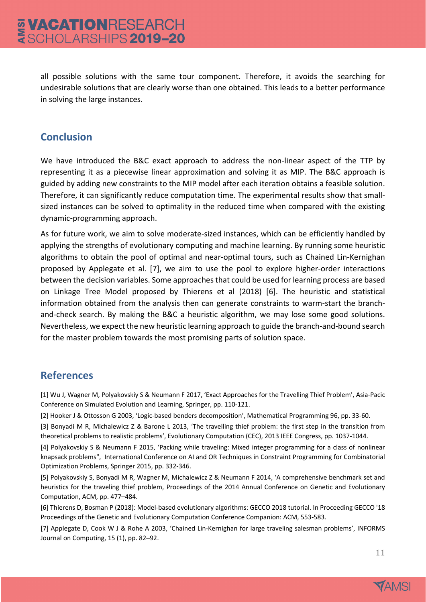all possible solutions with the same tour component. Therefore, it avoids the searching for undesirable solutions that are clearly worse than one obtained. This leads to a better performance in solving the large instances.

### **Conclusion**

We have introduced the B&C exact approach to address the non-linear aspect of the TTP by representing it as a piecewise linear approximation and solving it as MIP. The B&C approach is guided by adding new constraints to the MIP model after each iteration obtains a feasible solution. Therefore, it can significantly reduce computation time. The experimental results show that small‐ sized instances can be solved to optimality in the reduced time when compared with the existing dynamic‐programming approach.

As for future work, we aim to solve moderate‐sized instances, which can be efficiently handled by applying the strengths of evolutionary computing and machine learning. By running some heuristic algorithms to obtain the pool of optimal and near‐optimal tours, such as Chained Lin‐Kernighan proposed by Applegate et al. [7], we aim to use the pool to explore higher‐order interactions between the decision variables. Some approaches that could be used for learning process are based on Linkage Tree Model proposed by Thierens et al (2018) [6]. The heuristic and statistical information obtained from the analysis then can generate constraints to warm-start the branchand-check search. By making the B&C a heuristic algorithm, we may lose some good solutions. Nevertheless, we expect the new heuristic learning approach to guide the branch‐and‐bound search for the master problem towards the most promising parts of solution space.

# **References**

[1] Wu J, Wagner M, Polyakovskiy S & Neumann F 2017, 'Exact Approaches for the Travelling Thief Problem', Asia‐Pacic Conference on Simulated Evolution and Learning, Springer, pp. 110‐121.

[2] Hooker J & Ottosson G 2003, 'Logic‐based benders decomposition', Mathematical Programming 96, pp. 33‐60.

[3] Bonyadi M R, Michalewicz Z & Barone L 2013, 'The travelling thief problem: the first step in the transition from theoretical problems to realistic problems', Evolutionary Computation (CEC), 2013 IEEE Congress, pp. 1037‐1044.

[4] Polyakovskiy S & Neumann F 2015, 'Packing while traveling: Mixed integer programming for a class of nonlinear knapsack problems", International Conference on AI and OR Techniques in Constraint Programming for Combinatorial Optimization Problems, Springer 2015, pp. 332‐346.

[5] Polyakovskiy S, Bonyadi M R, Wagner M, Michalewicz Z & Neumann F 2014, 'A comprehensive benchmark set and heuristics for the traveling thief problem, Proceedings of the 2014 Annual Conference on Genetic and Evolutionary Computation, ACM, pp. 477–484.

[6] Thierens D, Bosman P (2018): Model‐based evolutionary algorithms: GECCO 2018 tutorial. In Proceeding GECCO '18 Proceedings of the Genetic and Evolutionary Computation Conference Companion: ACM, 553‐583.

[7] Applegate D, Cook W J & Rohe A 2003, 'Chained Lin-Kernighan for large traveling salesman problems', INFORMS Journal on Computing, 15 (1), pp. 82–92.